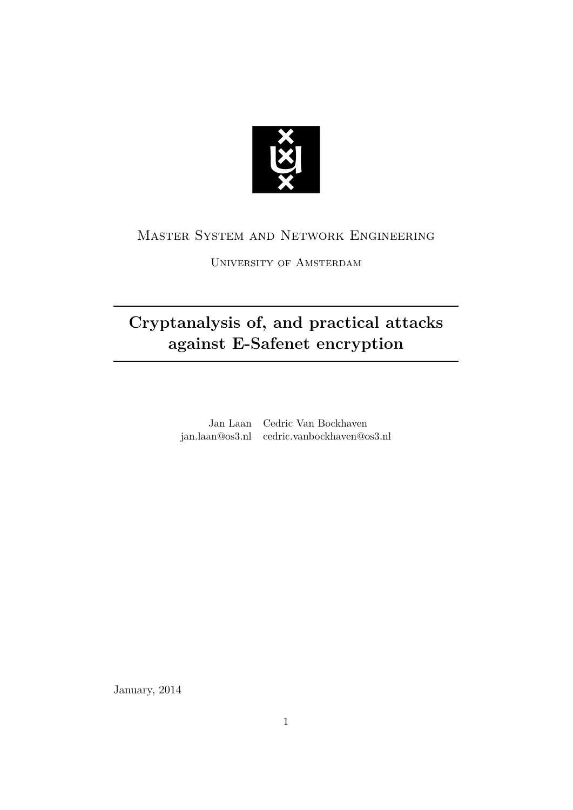

## Master System and Network Engineering

University of Amsterdam

# **Cryptanalysis of, and practical attacks against E-Safenet encryption**

Jan Laan Cedric Van Bockhaven jan.laan@os3.nl cedric.vanbockhaven@os3.nl

January, 2014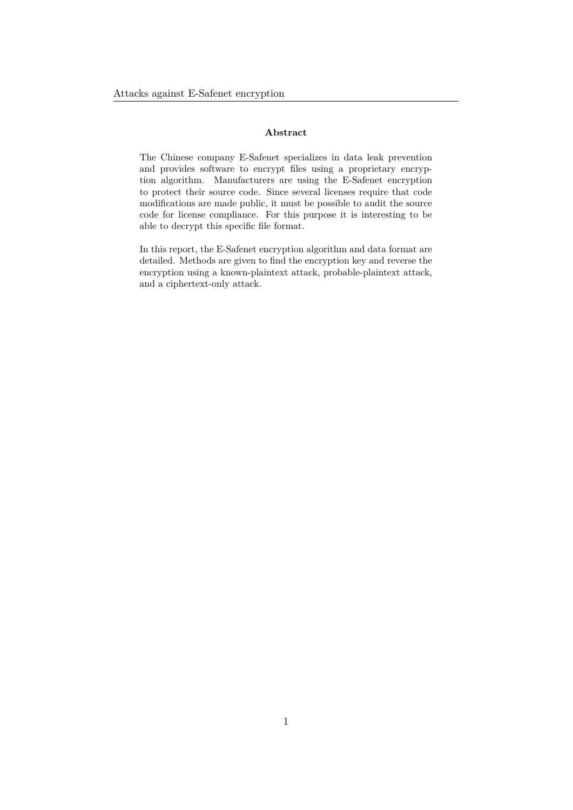#### **Abstract**

The Chinese company E-Safenet specializes in data leak prevention and provides software to encrypt files using a proprietary encryption algorithm. Manufacturers are using the E-Safenet encryption to protect their source code. Since several licenses require that code modifications are made public, it must be possible to audit the source code for license compliance. For this purpose it is interesting to be able to decrypt this specific file format.

In this report, the E-Safenet encryption algorithm and data format are detailed. Methods are given to find the encryption key and reverse the encryption using a known-plaintext attack, probable-plaintext attack, and a ciphertext-only attack.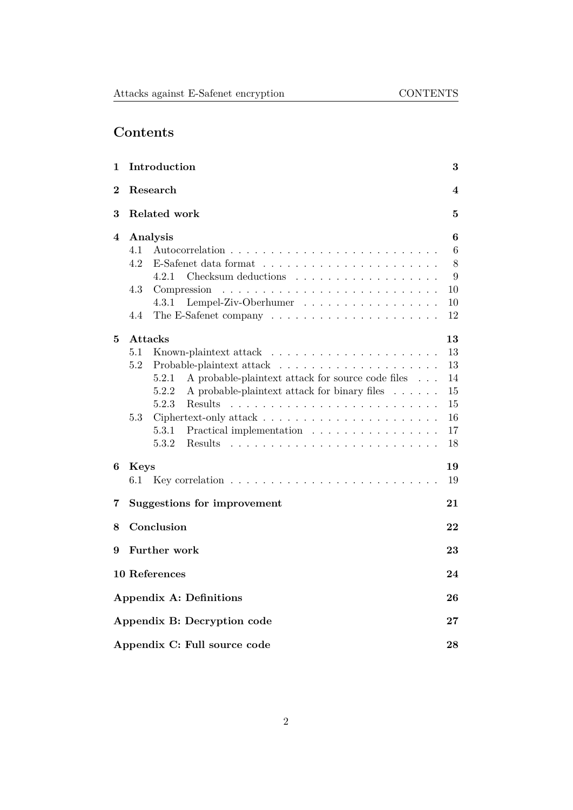## **Contents**

| 1        | Introduction                                                                                                                           | 3                       |
|----------|----------------------------------------------------------------------------------------------------------------------------------------|-------------------------|
| $\bf{2}$ | Research                                                                                                                               | $\overline{\mathbf{4}}$ |
| 3        | <b>Related work</b>                                                                                                                    | $\bf{5}$                |
| 4        | Analysis                                                                                                                               | 6                       |
|          | 4.1                                                                                                                                    | 6                       |
|          | 4.2<br>E-Safenet data format $\ldots \ldots \ldots \ldots \ldots \ldots \ldots$                                                        | 8                       |
|          | 4.2.1<br>Checksum deductions                                                                                                           | 9                       |
|          | 4.3<br>Compression<br>$\mathcal{L}$ , and a set of the set of the set of the set of the set of the set of the set of the $\mathcal{L}$ | 10                      |
|          | Lempel-Ziv-Oberhumer<br>4.3.1                                                                                                          | 10                      |
|          | 4.4                                                                                                                                    | 12                      |
| 5        | Attacks                                                                                                                                | 13                      |
|          | 5.1<br>Known-plaintext attack<br>.                                                                                                     | 13                      |
|          | 5.2                                                                                                                                    | 13                      |
|          | A probable-plaintext attack for source code files<br>5.2.1<br>$\cdots$                                                                 | 14                      |
|          | 5.2.2<br>A probable-plaintext attack for binary files                                                                                  | 15                      |
|          | 5.2.3<br>Results                                                                                                                       | 15                      |
|          | 5.3                                                                                                                                    | 16                      |
|          | 5.3.1<br>Practical implementation                                                                                                      | 17                      |
|          | 5.3.2<br>Results<br><u>. Kanada a sa kasa sa kasa sa kasa sa kasa sa kasa</u>                                                          | 18                      |
| 6        | <b>Keys</b>                                                                                                                            | 19                      |
|          | $6.1\,$                                                                                                                                | 19                      |
| 7        | <b>Suggestions for improvement</b>                                                                                                     | 21                      |
| 8        | Conclusion                                                                                                                             | 22                      |
| 9        | Further work                                                                                                                           | 23                      |
|          | <b>10 References</b>                                                                                                                   | 24                      |
|          | <b>Appendix A: Definitions</b>                                                                                                         | 26                      |
|          | Appendix B: Decryption code                                                                                                            | $\bf 27$                |
|          | Appendix C: Full source code                                                                                                           | 28                      |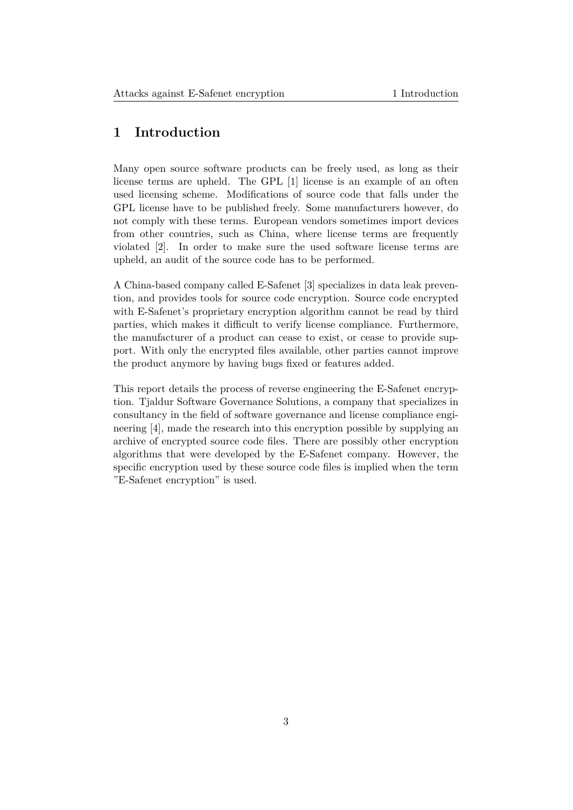## **1 Introduction**

<span id="page-3-0"></span>Many open source software products can be freely used, as long as their license terms are upheld. The GPL [1] license is an example of an often used licensing scheme. Modifications of source code that falls under the GPL license have to be published freely. Some manufacturers however, do not comply with these terms. European vendors sometimes import devices from other countries, such as China, [w](#page-24-1)here license terms are frequently violated [2]. In order to make sure the used software license terms are upheld, an audit of the source code has to be performed.

A China-based company called E-Safenet [3] specializes in data leak prevention, and [p](#page-24-2)rovides tools for source code encryption. Source code encrypted with E-Safenet's proprietary encryption algorithm cannot be read by third parties, which makes it difficult to verify license compliance. Furthermore, the manufacturer of a product can cease [to](#page-24-3) exist, or cease to provide support. With only the encrypted files available, other parties cannot improve the product anymore by having bugs fixed or features added.

<span id="page-3-1"></span>This report details the process of reverse engineering the E-Safenet encryption. Tjaldur Software Governance Solutions, a company that specializes in consultancy in the field of software governance and license compliance engineering [4], made the research into this encryption possible by supplying an archive of encrypted source code files. There are possibly other encryption algorithms that were developed by the E-Safenet company. However, the specific encryption used by these source code files is implied when the term "E-Safe[ne](#page-24-4)t encryption" is used.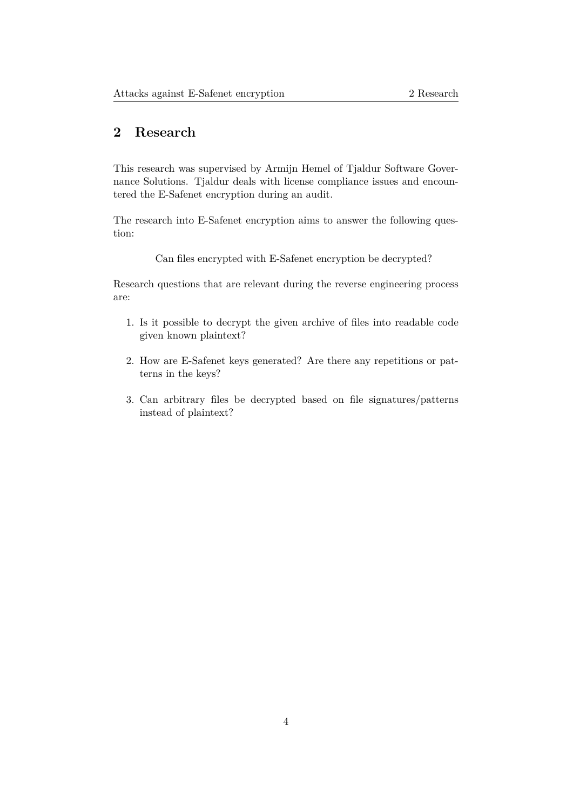## **2 Research**

This research was supervised by Armijn Hemel of Tjaldur Software Governance Solutions. Tjaldur deals with license compliance issues and encountered the E-Safenet encryption during an audit.

The research into E-Safenet encryption aims to answer the following question:

Can files encrypted with E-Safenet encryption be decrypted?

Research questions that are relevant during the reverse engineering process are:

- 1. Is it possible to decrypt the given archive of files into readable code given known plaintext?
- 2. How are E-Safenet keys generated? Are there any repetitions or patterns in the keys?
- <span id="page-4-0"></span>3. Can arbitrary files be decrypted based on file signatures/patterns instead of plaintext?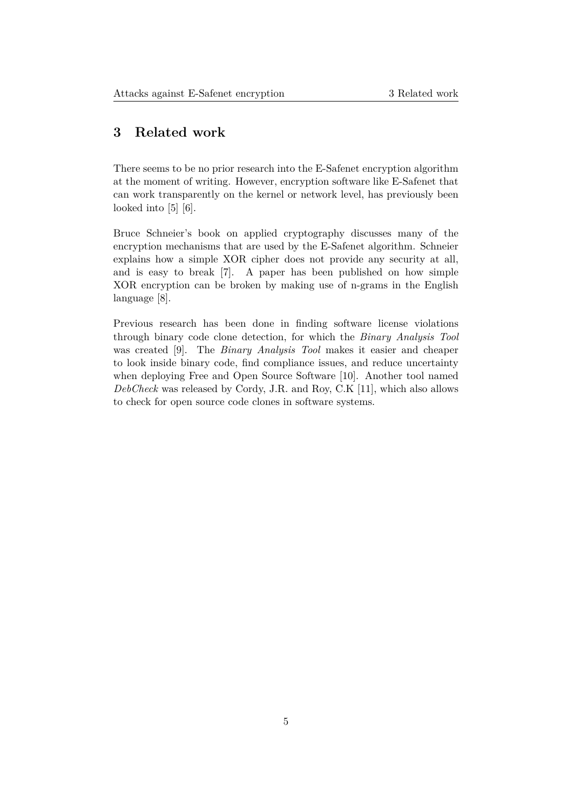## **3 Related work**

There seems to be no prior research into the E-Safenet encryption algorithm at the moment of writing. However, encryption software like E-Safenet that can work transparently on the kernel or network level, has previously been looked into [5] [6].

Bruce Schneier's book on applied cryptography discusses many of the encryption mechanisms that are used by the E-Safenet algorithm. Schneier explains ho[w](#page-24-5) a [s](#page-24-6)imple XOR cipher does not provide any security at all, and is easy to break [7]. A paper has been published on how simple XOR encryption can be broken by making use of n-grams in the English language [8].

<span id="page-5-0"></span>Previous research has [b](#page-24-7)een done in finding software license violations through binary code clone detection, for which the *Binary Analysis Tool* was creat[ed](#page-24-8) [9]. The *Binary Analysis Tool* makes it easier and cheaper to look inside binary code, find compliance issues, and reduce uncertainty when deploying Free and Open Source Software [10]. Another tool named *DebCheck* was released by Cordy, J.R. and Roy, C.K [11], which also allows to check for o[p](#page-24-9)en source code clones in software systems.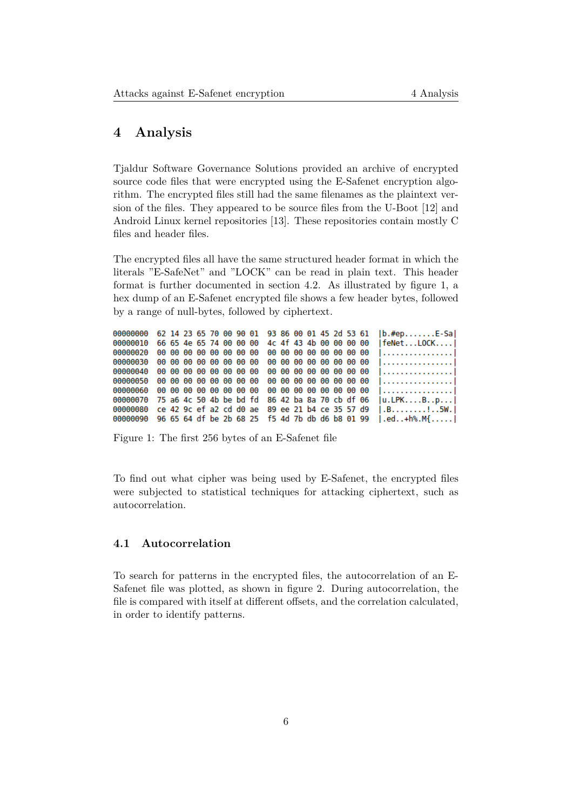#### **4 Analysis**

Tjaldur Software Governance Solutions provided an archive of encrypted source code files that were encrypted using the E-Safenet encryption algorithm. The encrypted files still had the same filenames as the plaintext version of the files. They appeared to be source files from the U-Boot [12] and Android Linux kernel repositories [13]. These repositories contain mostly C files and header files.

The encrypted files all have the same structured header format in w[hic](#page-24-10)h the literals "E-SafeNet" and "LOCK" [ca](#page-24-11)n be read in plain text. This header format is further documented in section 4.2. As illustrated by figure 1, a hex dump of an E-Safenet encrypted file shows a few header bytes, followed by a range of null-bytes, followed by ciphertext.

```
62 14 23 65 70 00 90 01 93 86 00 01 45 2d 53 61
00000000
                                                                     |b. #ep. . . . . . . E-Sa|00000010
           66 65 4e 65 74 00 00 00
                                        4c 4f 43 4b 00 00 00 00
                                                                     | feNet...LOCK....
00000020
           00 00 00 00 00 00 00 00
                                        00 00 00 00 00 00 00 00
                                                                     1. . . . . . . . . . . . . . . .
00000030
           00 00 00 00 00 00 00 00
                                        00 00 00 00 00 00 00 00
                                                                     1. . . . . . . . . . . . . . . . 1
00000040
           00 00 00 00 00 00 00 00
                                        00 00 00 00 00 00 00 00
                                                                     | . . . . . . . . . . . . . . . . .
00000050
           00 00 00 00 00 00 00 00
                                        00 00 00 00 00 00 00 00
                                                                     1. . . . . . . . . . . . . . . . .
00000060
           00 00 00 00 00 00 00 00
                                        00 00 00 00 00 00 00 00
                                                                     | . . . . . . . . . . . . . . . . |
00000070
           75 a6 4c 50 4b be bd fd
                                        86 42 ba 8a 70 cb df 06
                                                                     |u.LPK. \ldots B. . p. \ldots||.B...............5W.00000080
           ce 42 9c ef a2 cd d0 ae
                                        89 ee 21 b4 ce 35 57 d9
00000090 96 65 64 df be 2b 68 25 f5 4d 7b db d6 b8 01 99
                                                                     | .ed. . + h%.M{. . . . . |
```
Figure 1: The first 256 bytes of an E-Safenet file

To find out what cipher was being used by E-Safenet, the encrypted files were subjected to statistical techniques for attacking ciphertext, such as autocorrelation.

#### **4.1 Autocorrelation**

<span id="page-6-0"></span>To search for patterns in the encrypted files, the autocorrelation of an E-Safenet file was plotted, as shown in figure 2. During autocorrelation, the file is compared with itself at different offsets, and the correlation calculated, in order to identify patterns.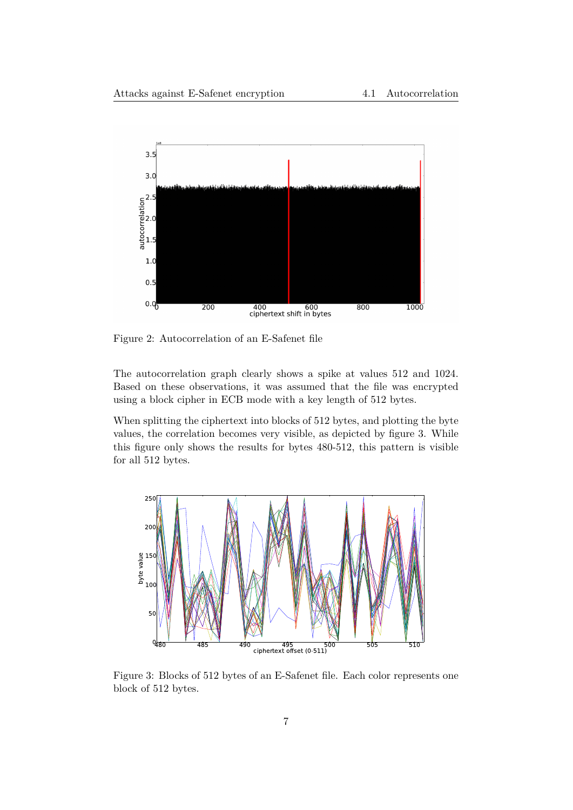

Figure 2: Autocorrelation of an E-Safenet file

The autocorrelation graph clearly shows a spike at values 512 and 1024. Based on these observations, it was assumed that the file was encrypted using a block cipher in ECB mode with a key length of 512 bytes.

When splitting the ciphertext into blocks of 512 bytes, and plotting the byte values, the correlation becomes very visible, as depicted by figure 3. While this figure only shows the results for bytes 480-512, this pattern is visible for all 512 bytes.



Figure 3: Blocks of 512 bytes of an E-Safenet file. Each color represents one block of 512 bytes.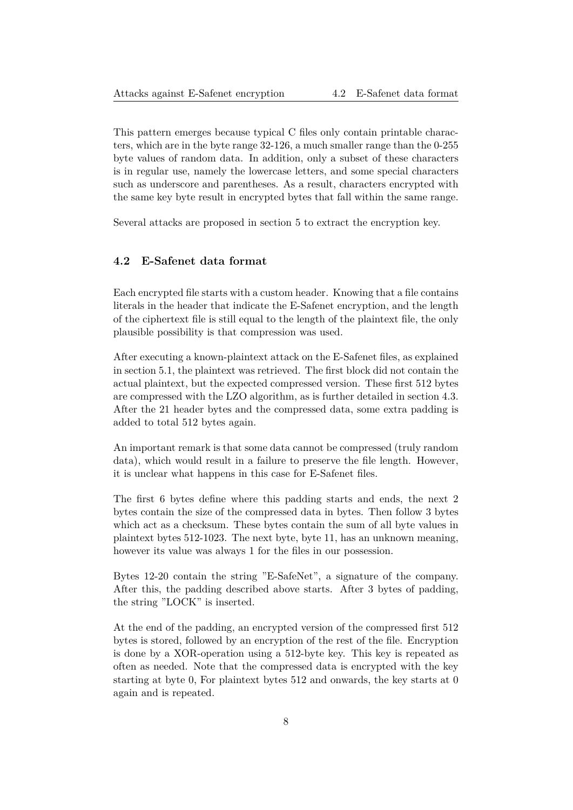This pattern emerges because typical C files only contain printable characters, which are in the byte range 32-126, a much smaller range than the 0-255 byte values of random data. In addition, only a subset of these characters is in regular use, namely the lowercase letters, and some special characters such as underscore and parentheses. As a result, characters encrypted with the same key byte result in encrypted bytes that fall within the same range.

Several attacks are proposed in section 5 to extract the encryption key.

#### **4.2 E-Safenet data format**

<span id="page-8-0"></span>Each encrypted file starts with a custom header. Knowing that a file contains literals in the header that indicate the E-Safenet encryption, and the length of the ciphertext file is still equal to the length of the plaintext file, the only plausible possibility is that compression was used.

After executing a known-plaintext attack on the E-Safenet files, as explained in section 5.1, the plaintext was retrieved. The first block did not contain the actual plaintext, but the expected compressed version. These first 512 bytes are compressed with the LZO algorithm, as is further detailed in section 4.3. After the 21 header bytes and the compressed data, some extra padding is added to [tota](#page-13-0)l 512 bytes again.

An important remark is that some data cannot be compressed (truly ran[dom](#page-9-1) data), which would result in a failure to preserve the file length. However, it is unclear what happens in this case for E-Safenet files.

The first 6 bytes define where this padding starts and ends, the next 2 bytes contain the size of the compressed data in bytes. Then follow 3 bytes which act as a checksum. These bytes contain the sum of all byte values in plaintext bytes 512-1023. The next byte, byte 11, has an unknown meaning, however its value was always 1 for the files in our possession.

Bytes 12-20 contain the string "E-SafeNet", a signature of the company. After this, the padding described above starts. After 3 bytes of padding, the string "LOCK" is inserted.

At the end of the padding, an encrypted version of the compressed first 512 bytes is stored, followed by an encryption of the rest of the file. Encryption is done by a XOR-operation using a 512-byte key. This key is repeated as often as needed. Note that the compressed data is encrypted with the key starting at byte 0, For plaintext bytes 512 and onwards, the key starts at 0 again and is repeated.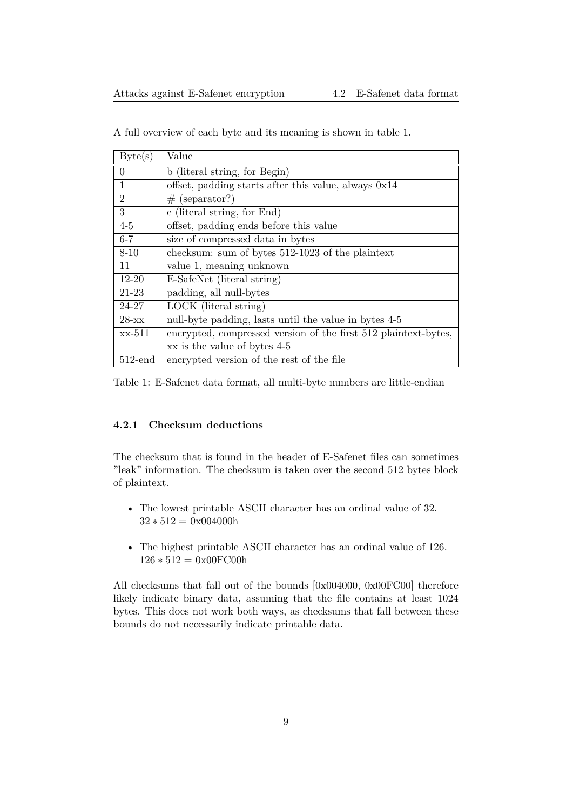| Byte(s)        | Value                                                           |
|----------------|-----------------------------------------------------------------|
| $\Omega$       | b (literal string, for Begin)                                   |
| 1              | offset, padding starts after this value, always 0x14            |
| $\overline{2}$ | $#$ (separator?)                                                |
| 3              | e (literal string, for End)                                     |
| $4-5$          | offset, padding ends before this value                          |
| $6 - 7$        | size of compressed data in bytes                                |
| $8 - 10$       | checksum: sum of bytes 512-1023 of the plaintext                |
| 11             | value 1, meaning unknown                                        |
| 12-20          | E-SafeNet (literal string)                                      |
| 21-23          | padding, all null-bytes                                         |
| 24-27          | LOCK (literal string)                                           |
| $28 - xx$      | null-byte padding, lasts until the value in bytes 4-5           |
| xx-511         | encrypted, compressed version of the first 512 plaintext-bytes, |
|                | xx is the value of bytes 4-5                                    |
| $512$ -end     | encrypted version of the rest of the file                       |

A full overview of each byte and its meaning is shown in table 1.

Table 1: E-Safenet data format, all multi-byte numbers are little-endian

#### **4.2.1 Checksum deductions**

<span id="page-9-0"></span>The checksum that is found in the header of E-Safenet files can sometimes "leak" information. The checksum is taken over the second 512 bytes block of plaintext.

- The lowest printable ASCII character has an ordinal value of 32. 32 *∗* 512 = 0x004000h
- The highest printable ASCII character has an ordinal value of 126. 126 *∗* 512 = 0x00FC00h

<span id="page-9-1"></span>All checksums that fall out of the bounds [0x004000, 0x00FC00] therefore likely indicate binary data, assuming that the file contains at least 1024 bytes. This does not work both ways, as checksums that fall between these bounds do not necessarily indicate printable data.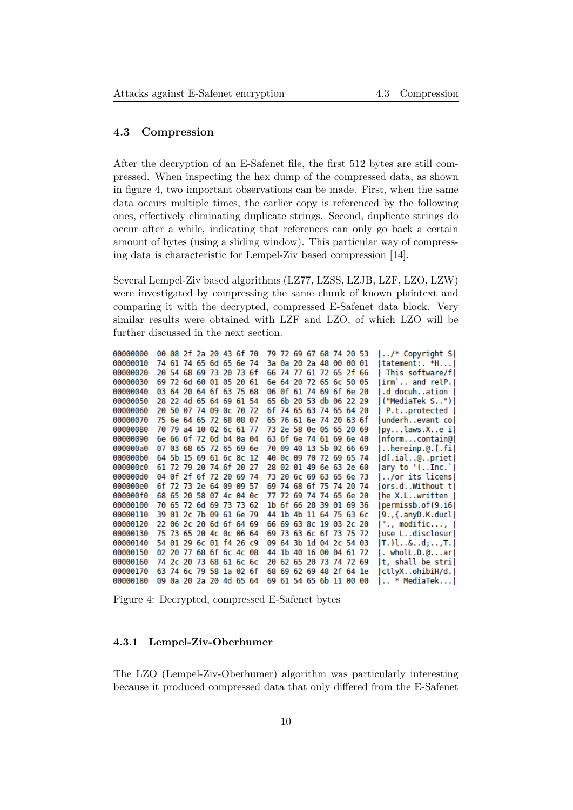#### **4.3 Compression**

After the decryption of an E-Safenet file, the first 512 bytes are still compressed. When inspecting the hex dump of the compressed data, as shown in figure 4, two important observations can be made. First, when the same data occurs multiple times, the earlier copy is referenced by the following ones, effectively eliminating duplicate strings. Second, duplicate strings do occur after a while, indicating that references can only go back a certain amount [of](#page-10-1) bytes (using a sliding window). This particular way of compressing data is characteristic for Lempel-Ziv based compression [14].

Several Lempel-Ziv based algorithms (LZ77, LZSS, LZJB, LZF, LZO, LZW) were investigated by compressing the same chunk of known plaintext and comparing it with the decrypted, compressed E-Safenet da[ta b](#page-25-0)lock. Very similar results were obtained with LZF and LZO, of which LZO will be further discussed in the next section.

<span id="page-10-1"></span>

| 00000000 | 00 08 2f 2a 20 43 6f 70 |  |  |  |     |  | 79 72 69 67 68 74 20 53 |  |  | /* Copyright S       |
|----------|-------------------------|--|--|--|-----|--|-------------------------|--|--|----------------------|
| 00000010 | 74 61 74 65 6d 65 6e 74 |  |  |  |     |  | 3a 0a 20 2a 48 00 00 01 |  |  | tatement:. *H        |
| 00000020 | 20 54 68 69 73 20 73 6f |  |  |  |     |  | 66 74 77 61 72 65 2f 66 |  |  | This software/fl     |
| 00000030 | 69 72 6d 60 01 05 20 61 |  |  |  |     |  | 6e 64 20 72 65 6c 50 05 |  |  | irm` and relP.       |
| 00000040 | 03 64 20 64 6f 63 75 68 |  |  |  |     |  | 06 0f 61 74 69 6f 6e 20 |  |  | d docuhation         |
| 00000050 | 28 22 4d 65 64 69 61 54 |  |  |  |     |  | 65 6b 20 53 db 06 22 29 |  |  | ("MediaTek S")       |
| 00000060 | 20 50 07 74 09 0c 70 72 |  |  |  |     |  | 6f 74 65 63 74 65 64 20 |  |  | P.tprotected         |
| 00000070 | 75 6e 64 65 72 68 08 07 |  |  |  |     |  | 65 76 61 6e 74 20 63 6f |  |  | underhevant col      |
| 00000080 | 70 79 a4 10 02 6c 61 77 |  |  |  |     |  | 73 2e 58 0e 05 65 20 69 |  |  | pylaws.Xe i          |
| 00000090 | 6e 66 6f 72 6d b4 0a 04 |  |  |  |     |  | 63 6f 6e 74 61 69 6e 40 |  |  | nformcontain@        |
| 000000a0 | 07 03 68 65 72 65 69 6e |  |  |  |     |  | 70 09 40 13 5b 02 66 69 |  |  | $$ hereinp.@. $[i!]$ |
| 000000b0 | 64 5b 15 69 61 6c 8c 12 |  |  |  |     |  | 40 0c 09 70 72 69 65 74 |  |  | d[.ial@priet         |
| 000000c0 | 61 72 79 20 74 6f 20 27 |  |  |  |     |  | 28 02 01 49 6e 63 2e 60 |  |  | ary to '(Inc.`       |
| 000000d0 | 04 0f 2f 6f 72 20 69 74 |  |  |  |     |  | 73 20 6c 69 63 65 6e 73 |  |  | /or its licens       |
| 000000e0 | 6f 72 73 2e 64 09 09 57 |  |  |  |     |  | 69 74 68 6f 75 74 20 74 |  |  | ors.dWithout t       |
| 000000f0 | 68 65 20 58 07 4c 04 0c |  |  |  |     |  | 77 72 69 74 74 65 6e 20 |  |  | he X.Lwritten        |
| 00000100 | 70 65 72 6d 69 73 73 62 |  |  |  |     |  | 1b 6f 66 28 39 01 69 36 |  |  | permissb.of(9.i6     |
| 00000110 | 39 01 2c 7b 09 61 6e 79 |  |  |  |     |  | 44 1b 4b 11 64 75 63 6c |  |  | 9.,{.anyD.K.ducl     |
| 00000120 | 22 06 2c 20 6d 6f 64 69 |  |  |  |     |  | 66 69 63 8c 19 03 2c 20 |  |  | "., modific,         |
| 00000130 | 75 73 65 20 4c 0c 06 64 |  |  |  |     |  | 69 73 63 6c 6f 73 75 72 |  |  | use Ldisclosur       |
| 00000140 | 54 01 29 6c 01 f4 26 c9 |  |  |  |     |  | 09 64 3b 1d 04 2c 54 03 |  |  | T.)l&d,T.            |
| 00000150 | 02 20 77 68 6f 6c 4c 08 |  |  |  |     |  | 44 1b 40 16 00 04 61 72 |  |  | . wholL.D.@arl       |
| 00000160 | 74 2с 20 73 68 61 6с 6с |  |  |  | 20. |  | 62 65 20 73 74 72 69    |  |  | t, shall be stri     |
| 00000170 | 63 74 6c 79 58 1a 02 6f |  |  |  |     |  | 68 69 62 69 48 2f 64 1e |  |  | ctlyXohibiH/d.       |
| 00000180 | 09 0a 20 2a 20 4d 65 64 |  |  |  |     |  | 69 61 54 65 6b 11 00 00 |  |  | * MediaTek           |

Figure 4: Decrypted, compressed E-Safenet bytes

#### **4.3.1 Lempel-Ziv-Oberhumer**

<span id="page-10-0"></span>The LZO (Lempel-Ziv-Oberhumer) algorithm was particularly interesting because it produced compressed data that only differed from the E-Safenet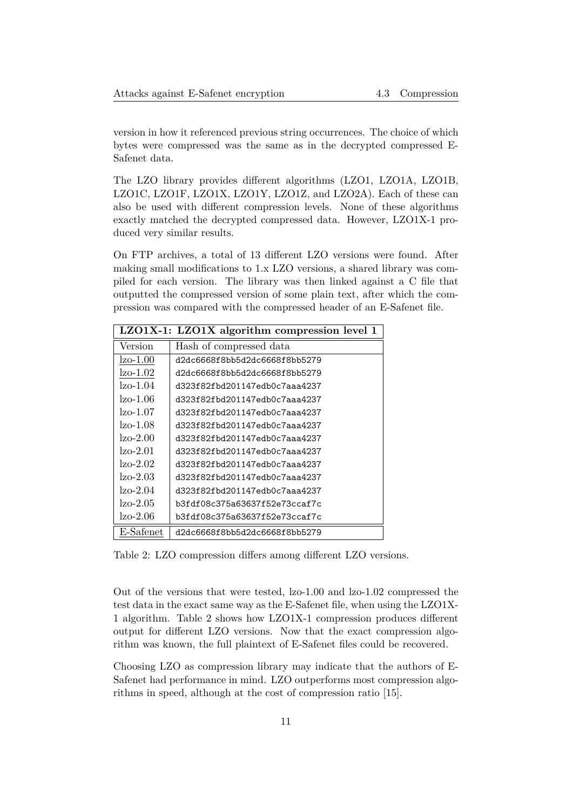version in how it referenced previous string occurrences. The choice of which bytes were compressed was the same as in the decrypted compressed E-Safenet data.

The LZO library provides different algorithms (LZO1, LZO1A, LZO1B, LZO1C, LZO1F, LZO1X, LZO1Y, LZO1Z, and LZO2A). Each of these can also be used with different compression levels. None of these algorithms exactly matched the decrypted compressed data. However, LZO1X-1 produced very similar results.

On FTP archives, a total of 13 different LZO versions were found. After making small modifications to 1.x LZO versions, a shared library was compiled for each version. The library was then linked against a C file that outputted the compressed version of some plain text, after which the compression was compared with the compressed header of an E-Safenet file.

|                | LZO1X-1: LZO1X algorithm compression level 1 |
|----------------|----------------------------------------------|
| Version        | Hash of compressed data                      |
| lzo-1.00       | d2dc6668f8bb5d2dc6668f8bb5279                |
| lzo-1.02       | d2dc6668f8bb5d2dc6668f8bb5279                |
| $\rm Izo-1.04$ | d323f82fbd201147edb0c7aaa4237                |
| $\rm Izo-1.06$ | d323f82fbd201147edb0c7aaa4237                |
| $\rm Izo-1.07$ | d323f82fbd201147edb0c7aaa4237                |
| $\rm Izo-1.08$ | d323f82fbd201147edb0c7aaa4237                |
| $lzo-2.00$     | d323f82fbd201147edb0c7aaa4237                |
| $\rm Izo-2.01$ | d323f82fbd201147edb0c7aaa4237                |
| $\rm Izo-2.02$ | d323f82fbd201147edb0c7aaa4237                |
| $Izo-2.03$     | d323f82fbd201147edb0c7aaa4237                |
| $lzo-2.04$     | d323f82fbd201147edb0c7aaa4237                |
| $\rm Izo-2.05$ | b3fdf08c375a63637f52e73ccaf7c                |
| $lzo-2.06$     | b3fdf08c375a63637f52e73ccaf7c                |
| E-Safenet      | d2dc6668f8bb5d2dc6668f8bb5279                |

Table 2: LZO compression differs among different LZO versions.

Out of the versions that were tested, lzo-1.00 and lzo-1.02 compressed the test data in the exact same way as the E-Safenet file, when using the LZO1X-1 algorithm. Table 2 shows how LZO1X-1 compression produces different output for different LZO versions. Now that the exact compression algorithm was known, the full plaintext of E-Safenet files could be recovered.

<span id="page-11-0"></span>Choosing LZO as compression library may indicate that the authors of E-Safenet had performance in mind. LZO outperforms most compression algorithms in speed, although at the cost of compression ratio [15].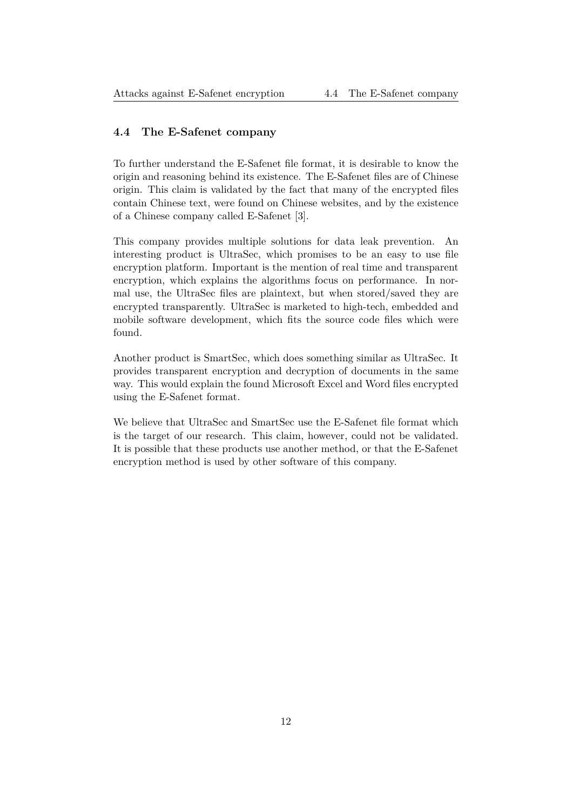#### **4.4 The E-Safenet company**

To further understand the E-Safenet file format, it is desirable to know the origin and reasoning behind its existence. The E-Safenet files are of Chinese origin. This claim is validated by the fact that many of the encrypted files contain Chinese text, were found on Chinese websites, and by the existence of a Chinese company called E-Safenet [3].

This company provides multiple solutions for data leak prevention. An interesting product is UltraSec, which promises to be an easy to use file encryption platform. Important is the [me](#page-24-3)ntion of real time and transparent encryption, which explains the algorithms focus on performance. In normal use, the UltraSec files are plaintext, but when stored/saved they are encrypted transparently. UltraSec is marketed to high-tech, embedded and mobile software development, which fits the source code files which were found.

Another product is SmartSec, which does something similar as UltraSec. It provides transparent encryption and decryption of documents in the same way. This would explain the found Microsoft Excel and Word files encrypted using the E-Safenet format.

<span id="page-12-0"></span>We believe that UltraSec and SmartSec use the E-Safenet file format which is the target of our research. This claim, however, could not be validated. It is possible that these products use another method, or that the E-Safenet encryption method is used by other software of this company.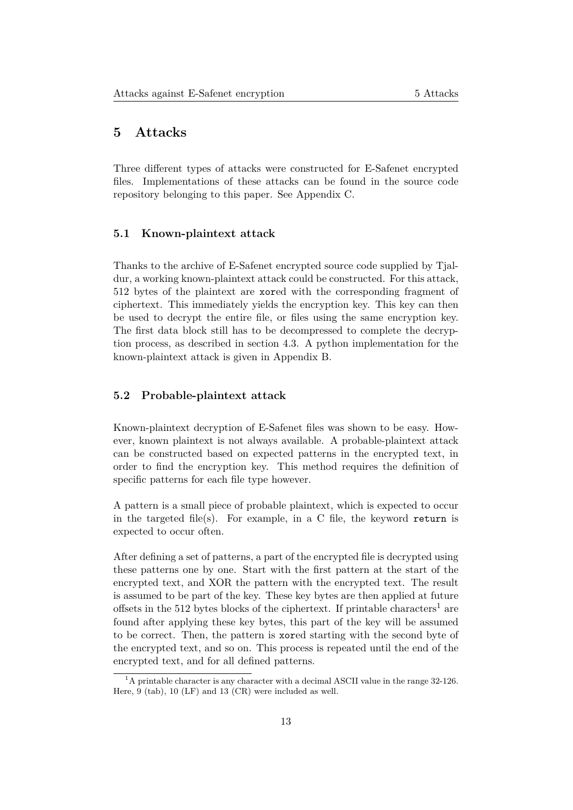### **5 Attacks**

Three different types of attacks were constructed for E-Safenet encrypted files. Implementations of these attacks can be found in the source code repository belonging to this paper. See Appendix C.

#### **5.1 Known-plaintext attack**

<span id="page-13-0"></span>Thanks to the archive of E-Safenet encrypted source code supplied by Tjaldur, a working known-plaintext attack could be constructed. For this attack, 512 bytes of the plaintext are xored with the corresponding fragment of ciphertext. This immediately yields the encryption key. This key can then be used to decrypt the entire file, or files using the same encryption key. The first data block still has to be decompressed to complete the decryption process, as described in section 4.3. A python implementation for the known-plaintext attack is given in Appendix B.

#### **5.2 Probable-plaintext attac[k](#page-9-1)**

<span id="page-13-1"></span>Known-plaintext decryption of E-Safenet files was shown to be easy. However, known plaintext is not always available. A probable-plaintext attack can be constructed based on expected patterns in the encrypted text, in order to find the encryption key. This method requires the definition of specific patterns for each file type however.

A pattern is a small piece of probable plaintext, which is expected to occur in the targeted file(s). For example, in a C file, the keyword return is expected to occur often.

After defining a set of patterns, a part of the encrypted file is decrypted using these patterns one by one. Start with the first pattern at the start of the encrypted text, and XOR the pattern with the encrypted text. The result is assumed to be part of the key. These key bytes are then applied at future offsets in the 512 bytes blocks of the ciphertext. If printable characters<sup>1</sup> are found after applying these key bytes, this part of the key will be assumed to be correct. Then, the pattern is xored starting with the second byte of the encrypted text, and so on. This process is repeated until the end [of](#page-13-2) the encrypted text, and for all defined patterns.

<span id="page-13-2"></span><sup>&</sup>lt;sup>1</sup>A printable character is any character with a decimal ASCII value in the range 32-126. Here, 9 (tab), 10 (LF) and 13 (CR) were included as well.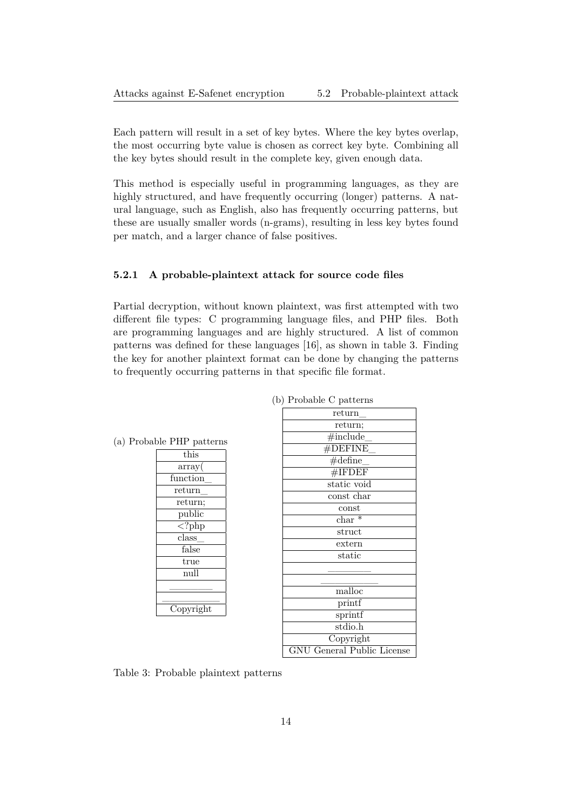Each pattern will result in a set of key bytes. Where the key bytes overlap, the most occurring byte value is chosen as correct key byte. Combining all the key bytes should result in the complete key, given enough data.

This method is especially useful in programming languages, as they are highly structured, and have frequently occurring (longer) patterns. A natural language, such as English, also has frequently occurring patterns, but these are usually smaller words (n-grams), resulting in less key bytes found per match, and a larger chance of false positives.

#### **5.2.1 A probable-plaintext attack for source code files**

<span id="page-14-0"></span>Partial decryption, without known plaintext, was first attempted with two different file types: C programming language files, and PHP files. Both are programming languages and are highly structured. A list of common patterns was defined for these languages [16], as shown in table 3. Finding the key for another plaintext format can be done by changing the patterns to frequently occurring patterns in that specific file format.

| return                            |
|-----------------------------------|
| return;                           |
| $\#$ include                      |
| $#$ DEFINE                        |
| $\#$ define                       |
| $#$ IFDEF                         |
| static void                       |
| const char                        |
| const                             |
| $char *$                          |
| struct                            |
| extern                            |
| static                            |
|                                   |
|                                   |
| malloc                            |
| printf                            |
| sprintf                           |
| stdio.h                           |
| Copyright                         |
| <b>GNU</b> General Public License |

(b) Pro[bab](#page-25-1)le C patterns

(a) Probable PHP patterns

this array( function\_ return\_ return; public  $\langle$ ?php class\_ false true null  $\overline{\phantom{a}}$   $\overline{\phantom{a}}$  $\overline{\phantom{a}}$  , where  $\overline{\phantom{a}}$ Copyright

<span id="page-14-1"></span>

|  | Table 3: Probable plaintext patterns |  |  |
|--|--------------------------------------|--|--|
|--|--------------------------------------|--|--|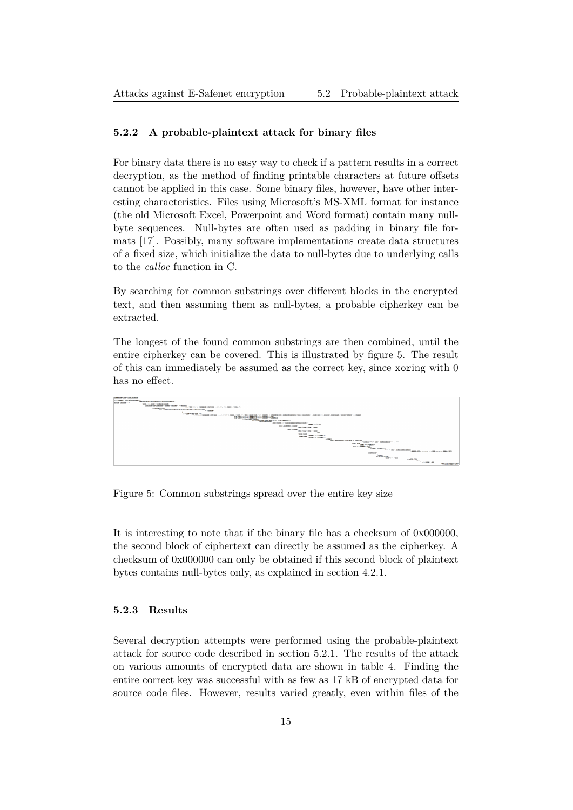#### **5.2.2 A probable-plaintext attack for binary files**

For binary data there is no easy way to check if a pattern results in a correct decryption, as the method of finding printable characters at future offsets cannot be applied in this case. Some binary files, however, have other interesting characteristics. Files using Microsoft's MS-XML format for instance (the old Microsoft Excel, Powerpoint and Word format) contain many nullbyte sequences. Null-bytes are often used as padding in binary file formats [17]. Possibly, many software implementations create data structures of a fixed size, which initialize the data to null-bytes due to underlying calls to the *calloc* function in C.

By se[arch](#page-25-2)ing for common substrings over different blocks in the encrypted text, and then assuming them as null-bytes, a probable cipherkey can be extracted.

The longest of the found common substrings are then combined, until the entire cipherkey can be covered. This is illustrated by figure 5. The result of this can immediately be assumed as the correct key, since xoring with 0 has no effect.



Figure 5: Common substrings spread over the entire key size

It is interesting to note that if the binary file has a checksum of 0x000000, the second block of ciphertext can directly be assumed as the cipherkey. A checksum of 0x000000 can only be obtained if this second block of plaintext bytes contains null-bytes only, as explained in section 4.2.1.

#### **5.2.3 Results**

<span id="page-15-0"></span>Several decryption attempts were performed using the probable-plaintext attack for source code described in section 5.2.1. The results of the attack on various amounts of encrypted data are shown in table 4. Finding the entire correct key was successful with as few as 17 kB of encrypted data for source code files. However, results varied [great](#page-14-0)ly, even within files of the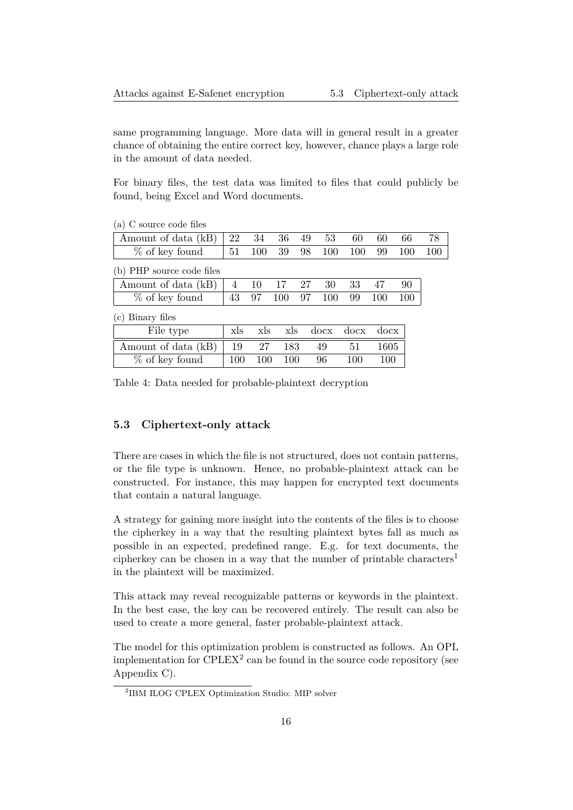same programming language. More data will in general result in a greater chance of obtaining the entire correct key, however, chance plays a large role in the amount of data needed.

For binary files, the test data was limited to files that could publicly be found, being Excel and Word documents.

(a) C source code files

| Amount of data (kB) $\begin{array}{ c c c c c c c c c } \hline \end{array}$ Amount of data (kB) $\begin{array}{ c c c c c c c c } \hline 22 & 34 & 36 & 49 & 53 & 60 & 60 & 66 & 78 \hline \end{array}$ |  |  |  |  |  |
|---------------------------------------------------------------------------------------------------------------------------------------------------------------------------------------------------------|--|--|--|--|--|
| % of key found   51 100 39 98 100 100 99 100 100                                                                                                                                                        |  |  |  |  |  |

(b) PHP source code files

| Amount of data (kB)   4 10 17 27 30 33 47 90 |  |  |  |  |
|----------------------------------------------|--|--|--|--|
| % of key found   43 97 100 97 100 99 100 100 |  |  |  |  |

(c) Binary files

| File type                      | xls | $x$ <sub>s</sub> |     | xls docx docx docx |     |      |
|--------------------------------|-----|------------------|-----|--------------------|-----|------|
| Amount of data (kB) $\vert$ 19 |     | 27               | 183 | 49                 | -51 | 1605 |
| % of key found                 | 100 | 100              | 100 | 96                 | 100 | 100  |

Table 4: Data needed for probable-plaintext decryption

#### **5.3 Ciphertext-only attack**

<span id="page-16-0"></span>There are cases in which the file is not structured, does not contain patterns, or the file type is unknown. Hence, no probable-plaintext attack can be constructed. For instance, this may happen for encrypted text documents that contain a natural language.

A strategy for gaining more insight into the contents of the files is to choose the cipherkey in a way that the resulting plaintext bytes fall as much as possible in an expected, predefined range. E.g. for text documents, the cipherkey can be chosen in a way that the number of printable characters<sup>1</sup> in the plaintext will be maximized.

This attack may reveal recognizable patterns or keywords in the plaintext. In the best case, the key can be recovered entirely. The result can also be used to create a more general, faster probable-plaintext attack.

The model for this optimization problem is constructed as follows. An OPL implementation for  $\text{CPLEX}^2$  can be found in the source code repository (see Appendix C).

<sup>2</sup> IBM ILOG CPLEX Optimization Studio: MIP solver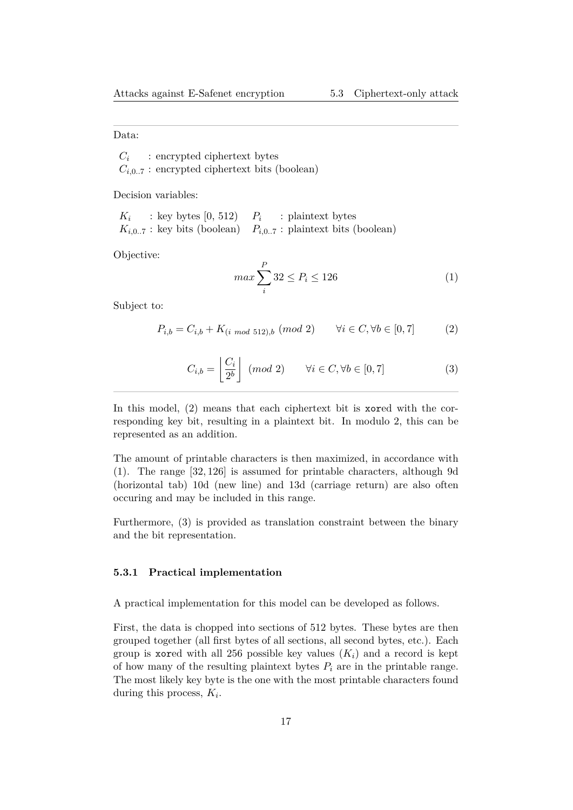Data:

 $C_i$ : encrypted ciphertext bytes  $C_{i,0..7}$ : encrypted ciphertext bits (boolean)

Decision variables:

*K<sup>i</sup>* : key bytes  $[0, 512)$   $P_i$  : plaintext bytes  $K_{i,0..7}$ : key bits (boolean)  $P_{i,0..7}$ : plaintext bits (boolean)

Objective:

$$
\max \sum_{i}^{P} 32 \le P_i \le 126\tag{1}
$$

Subject to:

<span id="page-17-2"></span>
$$
P_{i,b} = C_{i,b} + K_{(i \mod 512),b} \ (mod \ 2) \qquad \forall i \in C, \forall b \in [0,7]
$$
 (2)

<span id="page-17-1"></span>
$$
C_{i,b} = \left\lfloor \frac{C_i}{2^b} \right\rfloor \pmod{2} \qquad \forall i \in C, \forall b \in [0,7]
$$
 (3)

<span id="page-17-3"></span>In this model, (2) means that each ciphertext bit is xored with the corresponding key bit, resulting in a plaintext bit. In modulo 2, this can be represented as an addition.

The amount of [pr](#page-17-1)intable characters is then maximized, in accordance with (1). The range [32*,* 126] is assumed for printable characters, although 9d (horizontal tab) 10d (new line) and 13d (carriage return) are also often occuring and may be included in this range.

[Fu](#page-17-2)rthermore, (3) is provided as translation constraint between the binary and the bit representation.

#### **5.3.1 Practi[ca](#page-17-3)l implementation**

<span id="page-17-0"></span>A practical implementation for this model can be developed as follows.

First, the data is chopped into sections of 512 bytes. These bytes are then grouped together (all first bytes of all sections, all second bytes, etc.). Each group is xored with all 256 possible key values  $(K_i)$  and a record is kept of how many of the resulting plaintext bytes  $P_i$  are in the printable range. The most likely key byte is the one with the most printable characters found during this process, *K<sup>i</sup>* .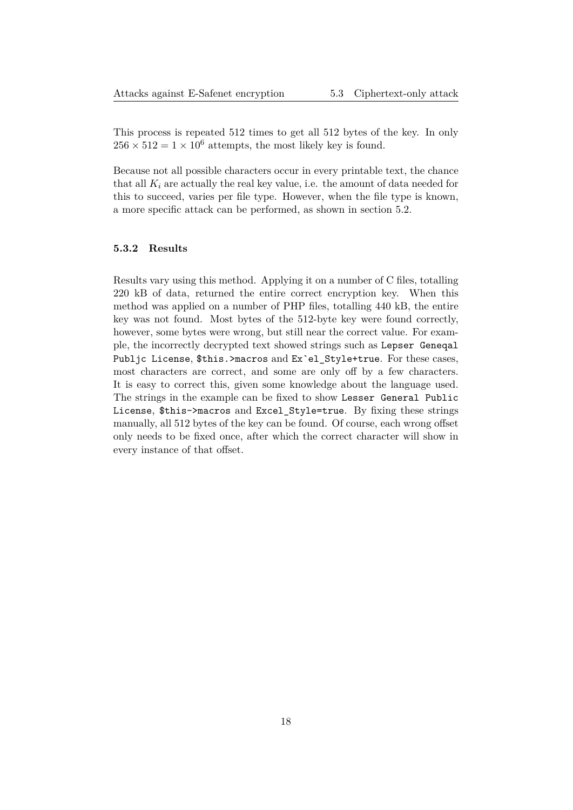This process is repeated 512 times to get all 512 bytes of the key. In only  $256 \times 512 = 1 \times 10^6$  attempts, the most likely key is found.

Because not all possible characters occur in every printable text, the chance that all  $K_i$  are actually the real key value, i.e. the amount of data needed for this to succeed, varies per file type. However, when the file type is known, a more specific attack can be performed, as shown in section 5.2.

#### **5.3.2 Results**

<span id="page-18-1"></span><span id="page-18-0"></span>Results vary using this method. Applying it on a number of C files, totalling 220 kB of data, returned the entire correct encryption key. When this method was applied on a number of PHP files, totalling 440 kB, the entire key was not found. Most bytes of the 512-byte key were found correctly, however, some bytes were wrong, but still near the correct value. For example, the incorrectly decrypted text showed strings such as Lepser Geneqal Publjc License, \$this.>macros and Ex`el\_Style+true. For these cases, most characters are correct, and some are only off by a few characters. It is easy to correct this, given some knowledge about the language used. The strings in the example can be fixed to show Lesser General Public License, \$this->macros and Excel\_Style=true. By fixing these strings manually, all 512 bytes of the key can be found. Of course, each wrong offset only needs to be fixed once, after which the correct character will show in every instance of that offset.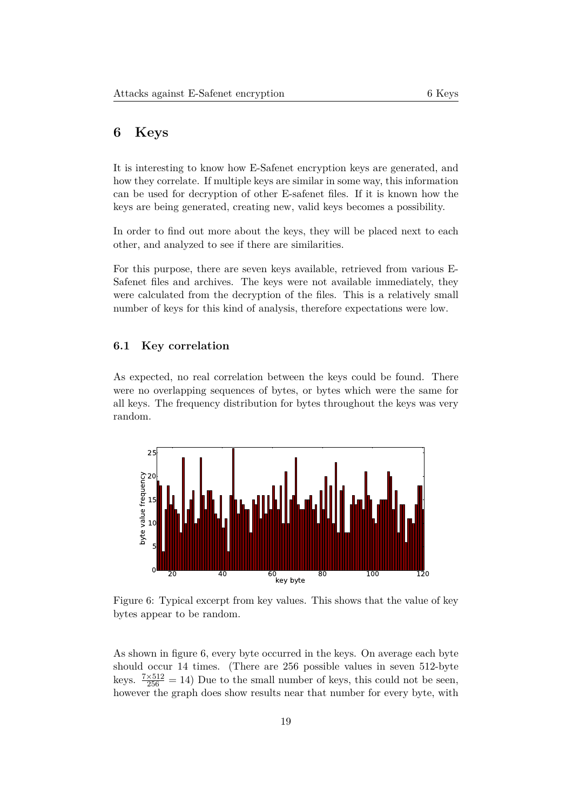### **6 Keys**

It is interesting to know how E-Safenet encryption keys are generated, and how they correlate. If multiple keys are similar in some way, this information can be used for decryption of other E-safenet files. If it is known how the keys are being generated, creating new, valid keys becomes a possibility.

In order to find out more about the keys, they will be placed next to each other, and analyzed to see if there are similarities.

For this purpose, there are seven keys available, retrieved from various E-Safenet files and archives. The keys were not available immediately, they were calculated from the decryption of the files. This is a relatively small number of keys for this kind of analysis, therefore expectations were low.

#### **6.1 Key correlation**

<span id="page-19-0"></span>As expected, no real correlation between the keys could be found. There were no overlapping sequences of bytes, or bytes which were the same for all keys. The frequency distribution for bytes throughout the keys was very random.

<span id="page-19-1"></span>

Figure 6: Typical excerpt from key values. This shows that the value of key bytes appear to be random.

As shown in figure 6, every byte occurred in the keys. On average each byte should occur 14 times. (There are 256 possible values in seven 512-byte keys.  $\frac{7\times512}{256} = 14$ ) Due to the small number of keys, this could not be seen, however the graph [d](#page-19-1)oes show results near that number for every byte, with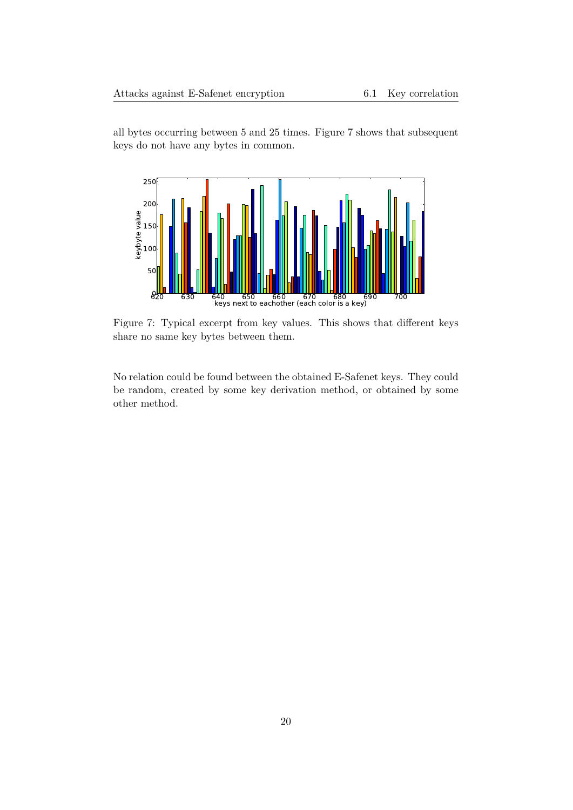all bytes occurring between 5 and 25 times. Figure 7 shows that subsequent keys do not have any bytes in common.



Figure 7: Typical excerpt from key values. This shows that different keys share no same key bytes between them.

<span id="page-20-0"></span>No relation could be found between the obtained E-Safenet keys. They could be random, created by some key derivation method, or obtained by some other method.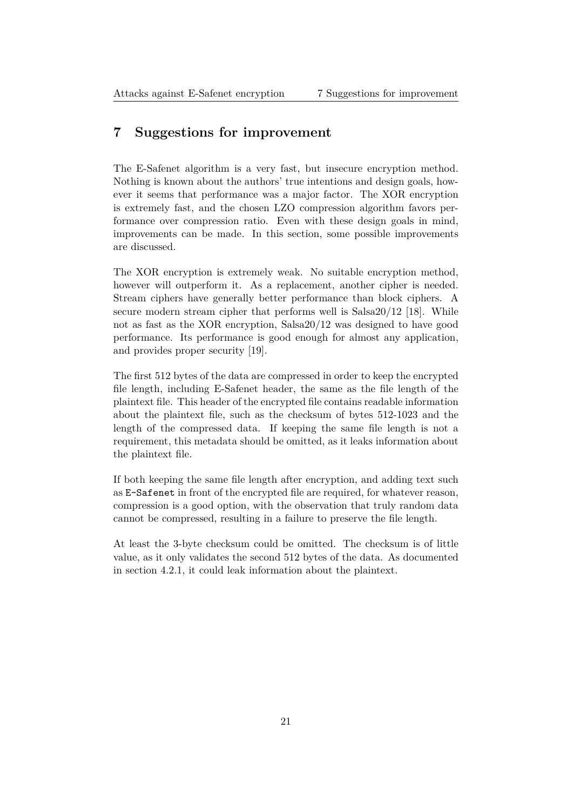## **7 Suggestions for improvement**

The E-Safenet algorithm is a very fast, but insecure encryption method. Nothing is known about the authors' true intentions and design goals, however it seems that performance was a major factor. The XOR encryption is extremely fast, and the chosen LZO compression algorithm favors performance over compression ratio. Even with these design goals in mind, improvements can be made. In this section, some possible improvements are discussed.

The XOR encryption is extremely weak. No suitable encryption method, however will outperform it. As a replacement, another cipher is needed. Stream ciphers have generally better performance than block ciphers. A secure modern stream cipher that performs well is Salsa20/12 [18]. While not as fast as the XOR encryption, Salsa20/12 was designed to have good performance. Its performance is good enough for almost any application, and provides proper security [19].

The first 512 bytes of the data are compressed in order to keep the encrypted file length, including E-Safenet header, the same as the file length of the plaintext file. This header of t[he e](#page-25-3)ncrypted file contains readable information about the plaintext file, such as the checksum of bytes 512-1023 and the length of the compressed data. If keeping the same file length is not a requirement, this metadata should be omitted, as it leaks information about the plaintext file.

If both keeping the same file length after encryption, and adding text such as E-Safenet in front of the encrypted file are required, for whatever reason, compression is a good option, with the observation that truly random data cannot be compressed, resulting in a failure to preserve the file length.

<span id="page-21-0"></span>At least the 3-byte checksum could be omitted. The checksum is of little value, as it only validates the second 512 bytes of the data. As documented in section 4.2.1, it could leak information about the plaintext.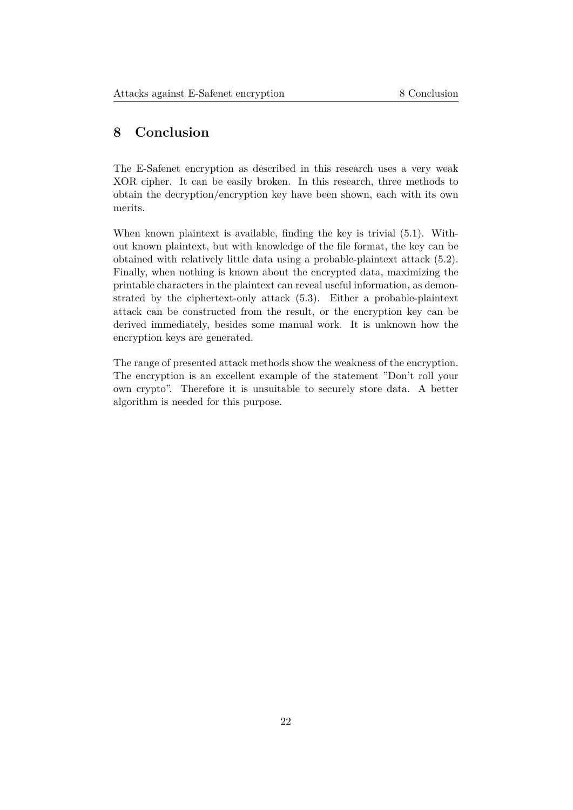## **8 Conclusion**

The E-Safenet encryption as described in this research uses a very weak XOR cipher. It can be easily broken. In this research, three methods to obtain the decryption/encryption key have been shown, each with its own merits.

When known plaintext is available, finding the key is trivial (5.1). Without known plaintext, but with knowledge of the file format, the key can be obtained with relatively little data using a probable-plaintext attack (5.2). Finally, when nothing is known about the encrypted data, maximizing the printable characters in the plaintext can reveal useful informatio[n, a](#page-13-0)s demonstrated by the ciphertext-only attack (5.3). Either a probable-plaintext attack can be constructed from the result, or the encryption key ca[n b](#page-13-1)e derived immediately, besides some manual work. It is unknown how the encryption keys are generated.

<span id="page-22-0"></span>The range of presented attack methods show the weakness of the encryption. The encryption is an excellent example of the statement "Don't roll your own crypto". Therefore it is unsuitable to securely store data. A better algorithm is needed for this purpose.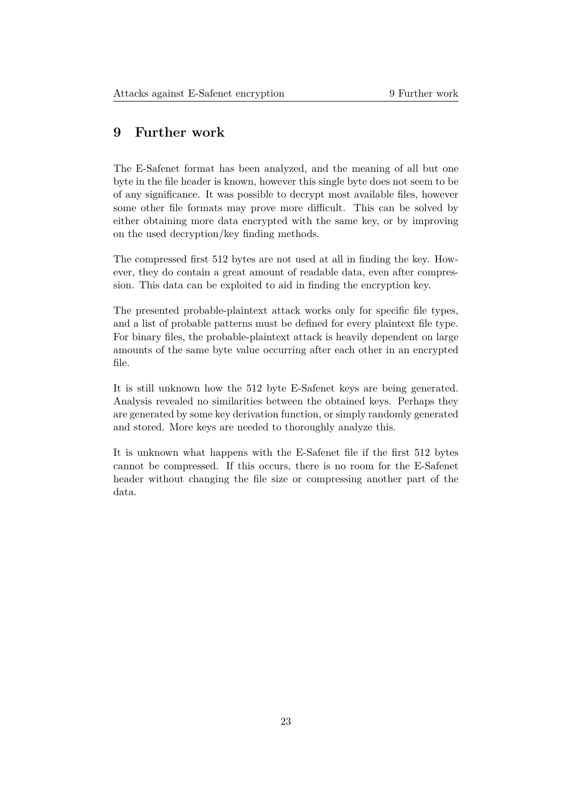## **9 Further work**

The E-Safenet format has been analyzed, and the meaning of all but one byte in the file header is known, however this single byte does not seem to be of any significance. It was possible to decrypt most available files, however some other file formats may prove more difficult. This can be solved by either obtaining more data encrypted with the same key, or by improving on the used decryption/key finding methods.

The compressed first 512 bytes are not used at all in finding the key. However, they do contain a great amount of readable data, even after compression. This data can be exploited to aid in finding the encryption key.

The presented probable-plaintext attack works only for specific file types, and a list of probable patterns must be defined for every plaintext file type. For binary files, the probable-plaintext attack is heavily dependent on large amounts of the same byte value occurring after each other in an encrypted file.

It is still unknown how the 512 byte E-Safenet keys are being generated. Analysis revealed no similarities between the obtained keys. Perhaps they are generated by some key derivation function, or simply randomly generated and stored. More keys are needed to thoroughly analyze this.

It is unknown what happens with the E-Safenet file if the first 512 bytes cannot be compressed. If this occurs, there is no room for the E-Safenet header without changing the file size or compressing another part of the data.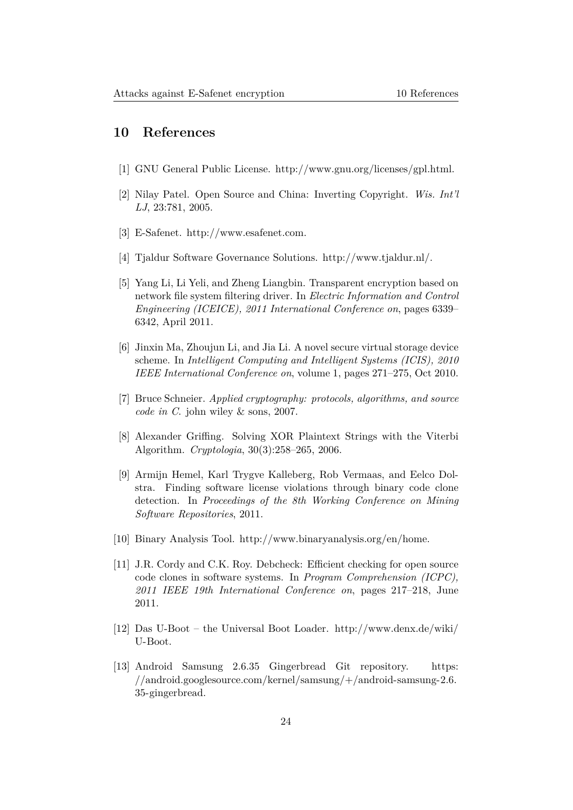## **10 References**

- <span id="page-24-0"></span>[1] GNU General Public License. http://www.gnu.org/licenses/gpl.html.
- <span id="page-24-1"></span>[2] Nilay Patel. Open Source and China: Inverting Copyright. *Wis. Int'l LJ*, 23:781, 2005.
- <span id="page-24-2"></span>[3] E-Safenet. http://www.esafenet.com.
- <span id="page-24-3"></span>[4] Tjaldur Software Governance Solutions. http://www.tjaldur.nl/.
- <span id="page-24-4"></span>[5] Yang Li, Li [Yeli, and Zheng Liangbin.](http://www.esafenet.com) Transparent encryption based on network file system filtering driver. In *Electric Information and Control Engineering (ICEICE), 2011 Internation[al Conference on](http://www.tjaldur.nl/)*, pages 6339– 6342, April 2011.
- <span id="page-24-5"></span>[6] Jinxin Ma, Zhoujun Li, and Jia Li. A novel secure virtual storage device scheme. In *Intelligent Computing and Intelligent Systems (ICIS), 2010 IEEE International Conference on*, volume 1, pages 271–275, Oct 2010.
- <span id="page-24-6"></span>[7] Bruce Schneier. *Applied cryptography: protocols, algorithms, and source code in C*. john wiley & sons, 2007.
- <span id="page-24-7"></span>[8] Alexander Griffing. Solving XOR Plaintext Strings with the Viterbi Algorithm. *Cryptologia*, 30(3):258–265, 2006.
- <span id="page-24-8"></span>[9] Armijn Hemel, Karl Trygve Kalleberg, Rob Vermaas, and Eelco Dolstra. Finding software license violations through binary code clone detection. In *Proceedings of the 8th Working Conference on Mining Software Repositories*, 2011.
- <span id="page-24-9"></span>[10] Binary Analysis Tool. http://www.binaryanalysis.org/en/home.
- [11] J.R. Cordy and C.K. Roy. Debcheck: Efficient checking for open source code clones in software systems. In *Program Comprehension (ICPC), 2011 IEEE 19th Inte[rnational Conference on](http://www.binaryanalysis.org/en/home)*, pages 217–218, June 2011.
- [12] Das U-Boot the Universal Boot Loader. http://www.denx.de/wiki/ U-Boot.
- <span id="page-24-11"></span><span id="page-24-10"></span>[13] Android Samsung 2.6.35 Gingerbread Git repository. https: //android.googlesource.com/kernel/samsun[g/+/android-samsung-2.6.](http://www.denx.de/wiki/U-Boot) [35-ging](http://www.denx.de/wiki/U-Boot)erbread.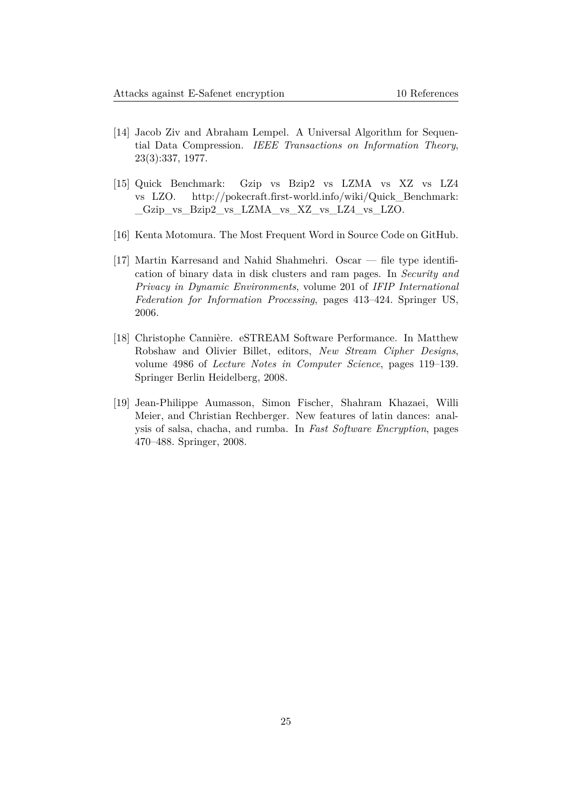- [14] Jacob Ziv and Abraham Lempel. A Universal Algorithm for Sequential Data Compression. *IEEE Transactions on Information Theory*, 23(3):337, 1977.
- <span id="page-25-0"></span>[15] Quick Benchmark: Gzip vs Bzip2 vs LZMA vs XZ vs LZ4 vs LZO. http://pokecraft.first-world.info/wiki/Quick\_Benchmark: \_Gzip\_vs\_Bzip2\_vs\_LZMA\_vs\_XZ\_vs\_LZ4\_vs\_LZO.
- [16] Kenta Moto[mura. The Most Frequent Word in Source Code on GitHub.](http://pokecraft.first-world.info/wiki/Quick_Benchmark:_Gzip_vs_Bzip2_vs_LZMA_vs_XZ_vs_LZ4_vs_LZO)
- <span id="page-25-2"></span><span id="page-25-1"></span>[17] [Martin Karresand and Nahid Shahmehri. Oscar — file t](http://pokecraft.first-world.info/wiki/Quick_Benchmark:_Gzip_vs_Bzip2_vs_LZMA_vs_XZ_vs_LZ4_vs_LZO)ype identification of binary data in disk clusters and ram pages. In *Security and Privacy in Dynamic Environments*, volume 201 of *IFIP International Federation for Information Processing*, pages 413–424. Springer US, 2006.
- [18] Christophe Cannière. eSTREAM Software Performance. In Matthew Robshaw and Olivier Billet, editors, *New Stream Cipher Designs*, volume 4986 of *Lecture Notes in Computer Science*, pages 119–139. Springer Berlin Heidelberg, 2008.
- <span id="page-25-3"></span>[19] Jean-Philippe Aumasson, Simon Fischer, Shahram Khazaei, Willi Meier, and Christian Rechberger. New features of latin dances: analysis of salsa, chacha, and rumba. In *Fast Software Encryption*, pages 470–488. Springer, 2008.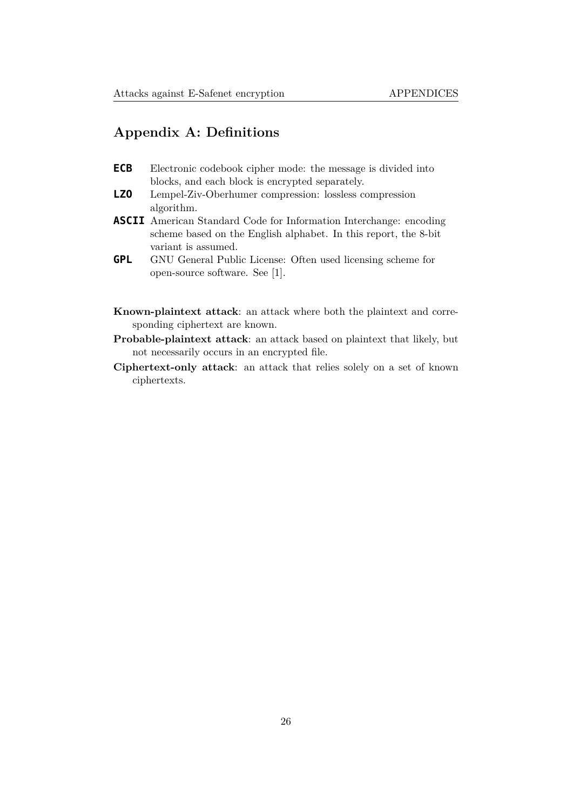## **Appendix A: Definitions**

- <span id="page-26-0"></span>**ECB** Electronic codebook cipher mode: the message is divided into blocks, and each block is encrypted separately.
- **LZO** Lempel-Ziv-Oberhumer compression: lossless compression algorithm.
- **ASCII** American Standard Code for Information Interchange: encoding scheme based on the English alphabet. In this report, the 8-bit variant is assumed.
- **GPL** GNU General Public License: Often used licensing scheme for open-source software. See [1].
- **Known-plaintext attack**: an attack where both the plaintext and corresponding ciphertext are know[n.](#page-24-1)
- **Probable-plaintext attack**: an attack based on plaintext that likely, but not necessarily occurs in an encrypted file.
- **Ciphertext-only attack**: an attack that relies solely on a set of known ciphertexts.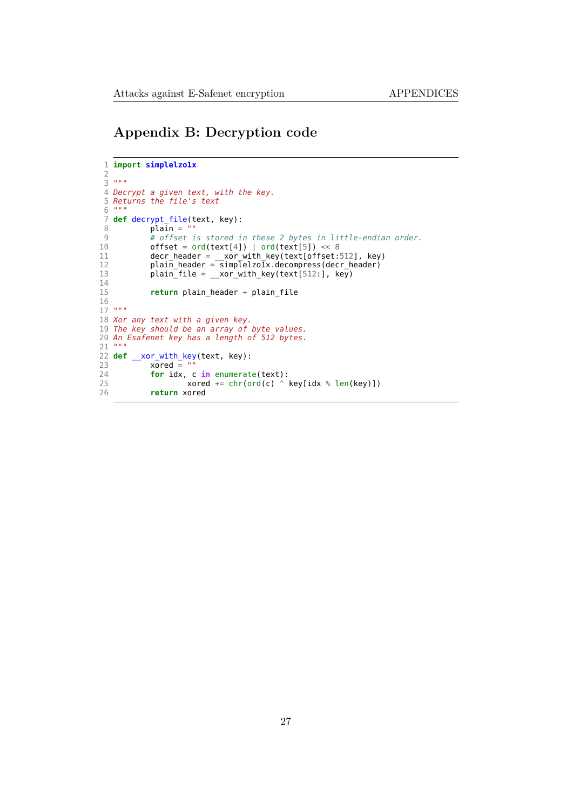## **Appendix B: Decryption code**

```
1 import simplelzo1x
2
3 """
4 Decrypt a given text, with the key.
5 Returns the file's text
6 """
7 def decrypt_file(text, key):<br>8 plain = ""
8 \begin{array}{lll} 8 & \text{plain} = " \\ 9 & \text{\#} \text{ offset} \end{array}9 # offset is stored in these 2 bytes in little-endian order.
           offset = ord(text[4]) | ord(text[5]) \ll 811 decr_header = __xor_with_key(text[offset:512], key)
12 plain_header = simplelzo1x.decompress(decr_header)
13 plain_file = \frac{1}{2} xor_with_key(text[512:], key)
14<br>15return plain_header + plain_file
16
17 """
18 Xor any text with a given key.
19 The key should be an array of byte values.
20 An Esafenet key has a length of 512 bytes.
21 """
22 def __xor_with_key(text, key):
23 xored = ""
24 for idx, c in enumerate(text):
25 xored += chr(ord(c) \hat{ } key[idx \hat{ } len(key)])
26 return xored
```